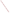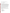# **AGENCY:** ENVIRONMENTAL PROTECTION AGENCY (EPA)

# **TITLE:** ACTIVITIES THAT ADVANCE METHANE RECOVERY AND USE AS A CLEAN ENERGY SOURCE

**ACTION:** Request for Proposals (RFP)

**RFP NO:** EPA-OAR-CCD-08-01

# **CATALOG OF FEDERAL DOMESTIC ASSISTANCE (CFDA) NO:** 66.034

**DATES:** The closing date and time for receipt of email and hard copy submission of proposal packages is February 22, 2008, 4:00 p.m., EST. All email and hard copy submission of proposal packages must be received by Lynda Garland February 22, 2008, 4:00 p.m., EST in order to be considered for funding. Grants.gov submissions must be submitted electronically via Grants.gov by February 22, 2008, 11:59 p.m., EST. Proposals received after the closing date and time will not be considered for funding. Final applications will be requested from those eligible entities whose proposal has been successfully evaluated and preliminarily recommended for award.

To allow for efficient management of the competitive process, EPA requests submittal of an informal notice of an Intent to Apply by January 11, 2008. Submission of Intent to apply is optional; it is a process management tool that will allow EPA to better anticipate the total staff time required for efficient review, evaluation, and selection of submitted proposals.

**SUMMARY:** This notice announces the availability of funds and solicits proposals that advance near-term, cost-effective methane recovery and use as a clean energy source, and support the goals of the Methane to Markets Partnership.

**FUNDING/AWARDS:** The total estimated funding for this competitive opportunity is approximately \$7,000,000. EPA anticipates awarding up to approximately 40 cooperative agreements resulting from this announcement, subject to availability of funds and the quality of proposals received.

# **CONTENTS BY SECTION**

- I. Funding Opportunity Description
- II. Award Information
- III. Eligibility Information
- IV. Proposal and Submission Information
- V. Proposal Review Information
- VI. Award Administration Information
- VII. Agency Contacts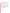#### **I. FUNDING OPPORTUNITY DESCRIPTION**

### **A. Background**

The international Methane to Markets Partnership is a White House initiative designed to advance cost-effective, near-term methane recovery and use as a clean energy source. Implementing such projects will reduce greenhouse gas emissions, enhance economic growth, promote energy security, and improve the environment.<sup>1</sup> This initiative involves collaboration among developed countries, developing countries, and countries with economies in transition B together with strong participation from the private sector. The Methane to Markets Partnership (the Partnership) targets four major methane sources: agriculture (manure management only), landfills, underground coal mines, and oil and gas systems.

The goals of the Partnership are:

- to create an international framework to advance the recovery and use of methane as a valuable clean energy source;
- to promote cost-effective, near term methane recovery and use opportunities through partnerships between developed, developing, and economies in transition, and;
- to foster strong participation from the private sector, multilateral development banks and other relevant organizations.

By 2015, the Methane to Markets Partnership, an international presidential initiative, has the potential to reduce methane emissions by 50 million metric tons of carbon equivalent annually, which is roughly equivalent to planting 55 million acres of trees, or recovering 500 billion cubic feet of natural gas. Emissions reductions of this magnitude could contribute to stabilized or declining levels of global atmospheric methane concentrations. Benefits to the U.S. will be reduction in climate change and the potential use of U.S. technologies and services in projects around the world.

To support the realization of these positive outcomes, the Climate Change Division (CCD) is seeking opportunities to fund proposals for activities that advance near-term, cost-effective methane recovery and use as a clean energy source, and support the goals of the Methane to Markets Partnership.

CCD will be funding proposals that help Methane to Markets Partners with developing economies and economies in transition benefit from methane capture and use. These partner countries include:

- **Argentina**
- Brazil
- China
- Colombia
- Ecuador
- India
- Korea (Republic of)
- **Mexico**
- Nigeria
- Russia
- Ukraine

<sup>&</sup>lt;sup>1</sup>For Additional information on the Methane to Markets Partnership, visit http://www.methanetomarkets.org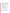• Vietnam

CCD will also consider Regional proposals as long as at least one of the countries listed above are included in the proposed work.

#### **B. Scope of Work**

EPA seeks proposals from eligible entities interested in supporting the goals of the Methane to Markets Partnership. This solicitation is specifically for activities and projects that support methane capture and use projects in Methane to Markets developing countries and countries with economies in transition (EITs) (see list of eligible countries above). Please note however that U.S. entities undertaking activities to support methane projects in these developing countries and EITs are eligible. *Projects and activities focused on promoting methane projects within the U.S. are not within the scope of this RFP and will not be considered. (See Threshold Criteria in Section III.C of this announcement).* Proposals must focus on one or more of the four sources of methane emissions--manure management systems, coal mines, landfills, and oil and gas systems.

Proposed projects relating to these sources of methane emissions may include but are not limited to the following:

- Projects that demonstrate methane capture and use, such as pre-feasibility studies, feasibility studies or technology demonstrations.
- Identifying cost-effective opportunities to recover methane emissions for energy production and potential financing mechanisms to encourage investment.
- Identifying and promoting areas of bilateral, multilateral, and private sector collaboration on methane recovery and use.
- Projects that improve emissions estimates and identify the largest relevant emission sources to facilitate project development.
- Identifying the legal, regulatory, financial or institutional and other conditions necessary to attract investment in international methane recovery and utilization projects.
- Identifying collaborative projects aimed at addressing specific challenges to methane recovery, such as raising awareness in key industries, improving local expertise and knowledge, and demonstrating methane recovery and use technologies and management practices.
- Developing country-wide, sector-specific methane reduction programs.

The Partnership technical subcommittees--underground coal mines, landfills, and oil and gas-- have developed sector-specific Action Plans to identify needs, opportunities and priorities for project development.

The Action Plans are available online at:

Coal Action Plan: www.methanetomarkets.org/resources/coalmines/index.htm Landfill Action Plan: www.methanetomarkets.org/resources/landfills/index.htm Oil and Gas Action Plan: www.methanetomarkets.org/resources/oil-gas/index.htm Agriculture Action Plan: www.methanetomarkets.org/resources/ag/index.htm

In order to be considered, proposals must be consistent with these Action Plans (See Section III.D., Threshold Criteria).

Finally, all proposals must demonstrate the candidate's ability to successfully and cost-effectively develop and implement a project or activity that advances the goals of the Partnership. EPA strongly encourages all interested parties to explore the Partnership web site (http://www.methanetomarkets.org). The EPA voluntary methane programs web site (http://www.epa.gov/methane/voluntary.html) is another source of information about methanerelated activities that EPA supports.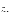# **C. EPA Strategic Plan Linkage and Anticipated Outcomes/Outputs**

# **1. Linkage to EPA Strategic Plan.**

Tasks under this agreement support the EPA Strategic Plan's Goal 1: Clean Air and Global Climate Change. Objective: 1.5 Reduce Greenhouse Gas Intensity

The Climate Change Division (CCD) supports projects that are in line with the goals of the Methane to Markets Partnership. Specifically, CCD supports projects that directly identify, characterize, or implement methane capture and use projects. CCD also supports activities that help overcome barriers that limit investment in projects that reduce methane emissions globally.

**2. Outputs.** The term "output" means an environmental activity, effort, and/or associated work product related to an environmental goal and objective that will be produced or provided over a period of time or by a specified date. Outputs may be quantitative or qualitative but must be measurable during an assistance agreement funding period.

Expected outputs from the projects to be funded under this announcement may include the following, which are consistent with the goals of the Partnership:

- • $\Box$  Technology transfer, training, and/or deployment of technology Technical reports
- 
- • $\Box$  Technical reports<br>• $\Box$  Feasibility and Pro • $\Box$  Feasibility and Pre-feasibility studies<br>• $\Box$  Databases of methane emissions or po
- • $\Box$  Databases of methane emissions or potential sites for projects • $\Box$  Other tools that facilitate projects or provide access to informa
- $\bullet$  Other tools that facilitate projects or provide access to information Information clearing house
- • $\Box$  Information clearing house<br>• $\Box$  Training and/or capacity bu
- • $\Box$  Training and/or capacity building • $\Box$  Study tours
- •<sup>[]</sup> Study tours<br>•<sup>[]</sup> Conferences
- • $\Box$  Conferences
- Project expositions
- •<sup>[]</sup> Workshops<br>•<sup>[]</sup> Improved m
- • $\Box$  Improved methane emissions estimates<br>• $\Box$  Country-wide methane reduction program
- • $\Box$  Country-wide methane reduction programs<br>• $\Box$  Other relevant outputs
- Other relevant outputs

Progress reports and a final report will also be a required output, as specified in Section VI (C) of this announcement, Reporting Requirement.

**3.** Outcomes. The term "outcome" means the result, effect or consequence that will occur from carrying out an environmental program or activity that is related to an environmental or programmatic goal or objective. Outcomes may be environmental, behavioral, health-related, or programmatic in nature, but must be quantitative. They may not necessarily be achievable within an assistance agreement funding period.

Projects to be funded under this announcement are expected to produce at least one, and preferably all, of the following environmental outcomes:

- $\bullet$   $\Box$  Stimulate economic growth
- Increase energy security by reducing waste of a valuable fuel
- $\bullet$  Improve local air quality
- $\bullet$  Improve industrial safety

# **D. Supplementary Information**

The statutory authority for this action is NEPA 102 (2)(F) and Clean Air Act, Section 103(b)(3) which authorizes the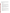award of grants for research, investigations, experiments, demonstrations, surveys, and studies related to activities that improve economic, technical and programmatic understanding of climate change. Such activities include rendering technical services and providing financial assistance; and, conducting and promoting coordination and acceleration of training of individuals and organizations with the goal of promoting methane capture and use.

# **II. AWARD INFORMATION**

# **A. What is the amount of funding available?**

The total estimated funding expected to be available for awards under this competitive opportunity is approximately \$7,000,000.

# **B**. **Partial Funding**.

In appropriate circumstances, EPA reserves the right to partially fund proposals by funding discrete portions or phases of proposed projects. If EPA decides to partially fund a proposal, it will do so in a manner that does not prejudice any applicants or affect the basis upon which the proposal or portion thereof, was evaluated and selected for award, and therefore maintains the integrity of the competition and selection process.

# **C. How many agreements will EPA award in this competition?**

EPA anticipates award of up to approximately 40 cooperative agreements under this announcement ranging in value from approximately \$100,000 to \$700,000, subject to the availability of funds and quality of evaluated proposals. In addition, EPA reserves the right to make additional awards under this announcement, consistent with Agency policy, if additional funding becomes available after the original selections. Any additional selections for awards will be made no later than six months from the date of the original selection date.

# **D. What is the project period for awards resulting from this solicitation?**

The project period for awards resulting from this solicitation will begin in May 2008. Proposed project periods may be up to three years.

# **E. Funding Type**

The funding for selected projects will be in the form of a cooperative agreement. Cooperative agreements permit substantial involvement between the EPA Project Officer and the selected applicants in the performance of the work supported. Although EPA will negotiate precise terms and conditions relating to substantial involvement as part of the award process, the anticipated substantial Federal involvement for this project will be:

- close monitoring of the successful applicant's performance to verify the results proposed by the applicant;
- collaboration during performance of the scope of work;
- in accordance with 40 CFR  $31.36(g)$ , review of proposed procurement;
- approving qualifications of key personnel (EPA will not select employees or contractors employed by the award recipient);
- review and comment on reports prepared under the cooperative agreement (the final decision on the content of reports rests with the recipient);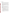#### **III. ELIGIBILITY INFORMATION**

#### **A. Eligible Entities**

Proposals will be accepted from States, local governments, territories, Indian Tribes, and possessions of the U.S., including the District of Columbia, international organizations, public and private universities and colleges, hospitals, laboratories, other public or private non-profit institutions, which submit proposals proposing projects with significant technical merit and relevance to EPA's Office of Air and Radiation's mission.

Non-profit organization, as defined by 2 CFR Part 230, means any corporation, trust, association, cooperative, or other organization which: (1) is operated primarily for scientific, educational, service, charitable, or similar purposes in the public interest; (2) is not organized primarily for profit; and (3) uses its net proceeds to maintain, improve, and/or expand its operations. For this purpose, the term "non-profit organization" excludes (i) colleges and universities; (ii) hospitals; (iii) state, local, and federally-recognized Indian tribal governments; and (iv) those non-profit organizations which are excluded from coverage of this Circular in accordance with paragraph 5 of the Circular.

Non-profit organizations described in Section  $501(c)(4)$  of the Internal Revenue Code that engage in lobbying activities as defined in Section 3 of the Lobbying Disclosure Act of 1995 are not eligible to apply.

## **B. Cost Sharing or Matching**

There is no required cost-share or match for this solicitation. However, applicants can provide voluntary matches as a means to demonstrate their ability to successfully and cost-effectively develop and implement a project or activity that advances the goals of the Partnership. This is reflected under selection criteria number 5 (in Section V). Eligible and allowable voluntary contributions of funds and/or in kind contributions of resources will be treated as cost shares under 40 CFR 30.23.

#### **C. Threshold Criteria**

These are requirements that if not met by the time of proposal submission will result in elimination of the proposal from consideration for funding. Only proposals from eligible entities (see above) that meet all of these criteria will be evaluated against the ranking factors in Section V of this announcement. Applicants deemed ineligible for funding consideration as a result of the threshold eligibility review will be notified within 15 calendar days of the ineligibility determination.

- 1. Proposals to fund projects under this announcement must demonstrate the advancement of nearterm, cost-effective methane recovery and use as a clean energy source and must fall under at least one of the four sources of methane emissions identified in Section I--manure management systems, coal mines, landfills, and oil and gas systems.
- 2. Proposals to fund activities under this solicitation must support methane capture and use projects in developing countries and countries with economies in transition (EITs). U.S. entities, as described in Section A above, undertaking activities to support methane projects in M2M developing countries and EITs (or Regional projects of multiple countries that include at least one M2M country) are eligible to propose under this announcement but projects and activities focused on promoting methane projects within the U.S. are not within the scope of this RFP and will not be considered.
- 3. Proposals to fund projects under this announcement that deal with coal mines, landfills, agricultural manure management, or oil and gas systems must be consistent with the Action Plans for these sources (See Section I).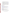4. a. Proposals must substantially comply with the proposal submission instructions and requirements set forth in Section IV of this announcement or else they will be rejected. However, where a page limit is expressed in Section IV with respect to the proposal, pages in excess of the page limitation will not be reviewed.

b. In addition, proposals must be received by the EPA or received through www.grants.gov, as specified in Section IV of this announcement, on or before the proposal submission deadline published in Section IV of this announcement. Applicants are responsible for ensuring that their proposal reaches the designated person/office specified in Section IV of the announcement by the submission deadline.

c. Proposals received after the submission deadline will be considered late and returned to the sender without further consideration unless the applicant can clearly demonstrate that it was late due to EPA mishandling. For hard copy submissions, where Section IV requires proposal receipt by a specific person/office by the submission deadline, receipt by an agency mailroom is not sufficient. Applicants should confirm receipt of their proposal with **Lynda Garland** as soon as possible after the submission deadline—failure to do so may result in your proposal not being reviewed.

# **IV. PROPOSAL AND SUBMISSION INFORMATION**

#### **A. How to Obtain Proposal Package**

EPA encourages applicants to obtain proposal materials and apply electronically through http://www.grants.gov.

Applicants may also download individual grant application forms, or electronically request a paper application package and an accompanying computer CD of information related to applicants/grants recipient roles and responsibilities, from EPA's Grants and Debarment website at: http://www.epa.gov/ogd/grants/how\_to\_apply.htm.

To obtain a paper copy of materials, please send an email or written request to garland.lynda@epa.gov; or request a paper copy of materials by U.S. Postal Service from the following mailing address:

U.S. Environmental Protection Agency, 1200 Pennsylvania Avenue, NW (6207J), Washington, DC 20460

#### **B. Form of Proposal Submission**

Applicants have the option to submit their proposals in *one of three ways*: 1) Hard copy by express delivery service, or Hand Delivery; 2) electronically through the Grants.gov website; or, 3) emailed to "M2M@EPA.GOV". Submittal by standard US mail will not be accepted. All proposals must be prepared, and include the information as described in Section IV.C. below, regardless of mode of transmission.

#### **1. Hard Copy Submission**

Please provide one original of the proposal package (including signed and completed SF 424, and SF 424A forms) and four copies of a complete proposal package--**no binders or spiral binding**- to:

# Hand Delivery or **Express Delivery Address (FedEx, UPS, DHL, etc.)**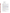U.S. Environmental Protection Agency ATTN: \_Lynda Garland (Mail Code: 6202J) OAR  $8<sup>th</sup>$  Floor, Room 803A 1310 L. Street, NW Washington, DC 20005 Phone: (202) 343-9719

# **Hard Copy Proposal Submission Deadline**

All hard copies of proposal packages must be received in-house by **Lynda Garland** by **Friday, February 22, 2008 at 4:00 p.m., EST.** 

#### **2. Grants.gov Submission**

The electronic submission of your proposal must be made by an official representative of your institution who is registered with Grants.gov and is authorized to sign applications for Federal assistance. For more information, go to http://www.grants.gov and click on "Get Registered" on the left side of the page.

**\*Registration process may take a week or longer to complete***.* If your organization is not currently registered with Grants.gov, please encourage your office to designate an AOR and ask that individual to begin the registration process as soon as possible.

To begin the application process under this grant announcement, go to http://www.grants.gov and click on the "Apply for Grants" tab on the left side of the page. Then click on "Apply Step 1: Download a Grant Application Package and Instructions" to download the PureEdge viewer and obtain the application package for the announcement. To download the PureEdge viewer click on the "PureEdge Viewer" link. Once you have downloaded the viewer, you may retrieve the application package by entering the Funding Opportunity Number, **EPA-OAR-08-01**, or the CFDA number that applies to the announcement (CFDA 66.034), in the appropriate field. You may also be able to access the application package by clicking on the button "Application" at the top right of the synopsis page for this announcement on http://www.grants.gov (to find the synopsis page, go to http://www.grants.gov and click on the "Find Grant Opportunities" button on the left side of the page and then go to Search Opportunities and use the Browse by Agency feature to find EPA opportunities).

#### **ATTENTION – Microsoft Vista and Word 2007 Users**

Please note that Grants.gov does not currently support the new Microsoft Vista Operating system. The PureEdge software used by Grants.gov for forms is not compatible with Vista. Grants.gov will be reviewing this new product to determine if it can be supported in the future.

In addition, the new version of Microsoft Word saves documents with the extension .DOCX. The Grants.gov system does not process Microsoft Word documents with the extension .DOCX. When submitting Microsoft Word attachments to Grants.gov, please use the version of Microsoft Word that ends in .DOC.

If you have any questions regarding this matter please email the Grants.gov Contact Center at support@grants.gov or call 1-800-518-4726.

#### **Grants.gov Proposal Submission Deadline**

Your organization's AOR (Authorized Representative) *must* submit your complete proposal package as described below, electronically to EPA through Grants.gov (http://www.grants.gov) no later than **12:59 p.m. EST on Friday, February 22, 2008.** .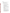#### **Proposal Materials**

#### **The following forms and documents are required to be submitted under this announcement:**

- I. Application for Federal Assistance (SF-424)
- II. Budget Information for Non-Construction Programs (SF-424A) III. Narrative Proposal **( prepared as described in Section IV.C of the**

**announcement)** 

The proposal package *must* include all of the following materials:

## **I. Standard Form (SF) 424, Application for Federal Assistance**  Complete the form. There are no attachments. Please be sure to include organization fax number and email address in Block 5 of the Standard Form SF 424.

Please note that the organizational Dun and Bradstreet (D&B) Data Universal Number System (DUNS) number must be included on the SF-424. Organizations may obtain a DUNS number at no cost by calling the toll-free DUNS number request line at 1-866-705-5711.

## **II. Standard Form SF 424A – Budget Information**:

Complete the form. There are no attachments.

The total amount of federal funding requested for the project period should be shown on line  $5(e)$  and on line  $6(k)$  of SF-424A, the amount of indirect costs should be entered on line 6(j). The indirect cost rate (i.e., a percentage), the base (e.g., personnel costs and fringe benefits), and the amount should also be indicated on line 22.

**\*Selected applicant(s) will need to submit a copy of their current indirect cost rate that has been negotiated with a federal cognizant agency during application phase.** 

#### **III. Narrative Proposal**

*The document should be readable in PDF, MS Word or Word Perfect WP6/7/8 for Windows and consolidated into a single file and be prepared in accordance with Section IV c of the announcement.* 

**\*\*Documents I through III** listed under Proposal Materials above should appear in the "Mandatory Documents" box on the www.grants.gov Grant Application Package page.

For documents I and II, click on the appropriate form and then click "Open Form" below the box. The fields that must be completed will be highlighted in yellow. Optional fields and completed fields will be displayed in white. If you enter an invalid response or incomplete information in a field, you will receive an error message. When you have finished filling out each form, click "Save." When you return to the electronic Grant Application Package page, click on the form you just completed, and then click on the box that says, "Move Form to Submission List." This action will move the document over to the box that says, "Mandatory Completed Documents for Submission."

For document number III, the Narrative Proposal, you will need to attach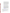electronic files. Prepare your narrative proposal as described above in Section IV.C. of this announcement and save the document to your computer as an MS Word, PDF or WordPerfect file. When you are ready to attach your proposal to the application package, click on "Project Narrative Attachment Form," and open the form. Click "Add Mandatory Project Narrative File," and then attach your proposal narrative (previously saved to your computer) using the browse window that appears. You may then click "View Mandatory Project Narrative File" to view it. Enter a brief descriptive title of your project in the space beside "Mandatory Project Narrative File Filename;" the file name should be no more than 40 characters long. If there other attachments that you would like to submit to accompany your proposal, you may click "Add Optional Project Narrative File" and proceed as before. When you have finished attaching the necessary documents, click "Close Form." When you return to the "Grant Application Package" page, select the "Project Narrative Attachment Form" and click "Move Form to Submission List." The form should now appear in the box that says, "Mandatory Completed Documents for Submission."

Once your proposal package has been completed and saved, send it to your Authorized Representative (AOR) for submission to U.S. EPA through www.grants.gov. Please advise your AOR to close all other software programs before attempting to submit the application package through grants.gov.

In the "Application Filing Name" box, your AOR should enter your organization's name (abbreviate where possible), the fiscal year (e.g., FY08), and the grant category (e.g., Assoc Prog Supp). The filing name should not exceed 40 characters. From the "Grant Application Package" page, your AOR may submit the application package by clicking the "Submit" button that appears at the top of the page. The AOR will then be asked to verify the agency and funding opportunity number for which the application package is being submitted. If problems are encountered during the submission process, the AOR should reboot his/her computer before trying to submit the application package again. [It may be necessary to turn off the computer (not just restart it) before attempting to submit the package again.] **If the AOR continues to experience submission problems, he/she may contact grants.gov for assistance by phone at 1-800-518-4726** or email at http://www.grants.gov/help/help.jsp or contact Henry Ferland at (202) 343-9330 or ferland.henry@epa.gov Proposal packages submitted thru grants.gov will be time/date stamped electronically.

#### **3. Email Submission**

For those applicants that want to propose electronically but who may have difficulties using grants.gov to submit their proposal packages, EPA is allowing for submission of proposal packages under this announcement via email to M2M@epa.gov. Email proposal packages MUST BE COMPLETE, and include ALL DOCUMENTS as required in Section IV.C of this announcement. These documents include the narrative proposal, SF 424A and SF 424. Incomplete email submissions may be ineligible for further consideration.

Email submissions are not considered received and complete until you have received an email confirmation receipt from M2M@epa.gov.

The deadline for receipt by EPA of proposals sent by email for this solicitation is **4 p.m. EST, February 22, 2008.**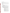#### **C. Content of Proposal Submission**

All proposal submissions, regardless of mode of transmission, must contain a completed and signed SF-424, Application for Federal Assistance, a completed SF-424A, Budget Information—Non-Construction Programs, and a Narrative Proposal as described below.

### **Narrative Proposal**

The Narrative Proposal (including sections 1-3 below) **cannot** exceed a maximum of 20 single-spaced typewritten pages, including the Summary Page. Pages in excess of 20 will not be considered. Supporting materials, such as resumes and letters of support, can be submitted as attachments and are not included in the 20-page limit

#### **1. Summary Page**

a. Project Title

b. Applicant Information. Include applicant (organization) name, address, contact person, phone number, fax and e-mail address.

c. Funding Requested. Specify the amount you are requesting from EPA.

d. Total Project Cost. Specify total cost of the project. Identify funding from other sources, including cost share or in-kind resources.

e. Project period. Provide beginning and ending dates (for planning purposes, applicants should assume a project start date of April 2008).

#### **2. Narrative Work Plan**

#### **\*\*The Narrative must explicitly describe how the proposed project meets the guidelines established in Sections I-III (including the threshold eligibility criteria in Section III.C) of this announcement, and address each of the evaluation criteria set forth in Section V.**

- **a. Project Summary/Approach:** The summary shall contain the following components:
	- i. Detailed project summary, description of specific actions and methods to be undertaken and the responsible institutions, including estimated time line for each task.
	- ii. Description of the associated work products to be developed.
	- iii. Explanation of project benefits to the public, and specifically the potential audience(s) served.
	- iv. Description of the roles of the applicant and partners, if any.
	- v. Description of the applicant's organization and experience related to the proposed project.
	- vi. Description of staff expertise/qualifications, staff knowledge, and resources or the ability to obtain them, to successfully achieve the goals of the proposed project.
	- vii. Budget and estimated funding amounts for each work component/task. This section provides an opportunity for narrative description of the budget or aspects of the budget found in the SF-424A such as "other" and "contractual."
	- viii. A commitment to develop a project website in English that tracks project developments and outputs through the lifetime of the project.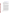ix. A commitment to enter the project into the Methane to Markets project database at: <www.methanetomarkets.gov/projects/index> and to keep this information up to date with the project website.

#### **b. Environmental Results—Outcomes and Outputs:**

Identify the expected quantitative and qualitative outcomes of the project (See Section I), including what measurements will be used to track your progress towards achieving the outcomes and how the results of the project will be evaluated. The preferred metric for measuring quantitative results is in estimated annual ghg reductions due to the project activities in *metric tons carbon dioxide equivalent* (MTCO2e). Identify the expected project outputs and how progress towards achieving the outputs, consistent with the goals of the Methane to Markets Partnership, will be tracked and measured.

#### **c. Past Performance**

**i. Programmatic Capability:** Submit a list of federally and/or foreign equivalent funded assistance agreements (an assistance agreement is a grant or cooperative agreement and not a federally and/or foreign equivalent contract) similar in size, scope and relevance to the proposed project that your organization performed within the last three years (no more than 5 agreements, and preferably EPA agreements) and describe (i) whether, and how, you were able to successfully complete and manage those agreements and (ii) your history of meeting the reporting requirements under those agreements including submitting acceptable final technical reports or the equivalent. In evaluating applicants under these factors in Section V, EPA will consider the information provided by the applicant and may also consider relevant information from other sources, including information from EPA files and from current and prior Federal agency grantors (e.g., to verify and/or supplement the information provided by the applicant) or the equivalent. If you do not have any relevant or available past performance or reporting information, please indicate this in the proposal and you will receive a neutral score for this factor under Section V.

**ii. Reporting on Environmental Results--Outcomes and Outputs:** Submit a list of federally and/or foreign equivalent funded assistance agreements (an assistance agreement is a grant or cooperative agreement and not a federally and/or foreign equivalent contract) that your organization performed within the last three years (no more than 5 agreements, and preferably EPA agreements), and describe how you documented and/or reported on whether you were making progress towards achieving the expected results (e.g., outputs and outcomes) under those agreements. If you were not making progress, please indicate whether, and how, you documented why not. In evaluating applicants under this factor in Section V, EPA will consider the information provided by the applicant and may also consider relevant information from other sources, including information from EPA files and from current and prior Federal agency grantors (e.g., to verify and/or supplement the information provided by the applicant). If you do not have any relevant or available environmental results past performance information, please indicate this in the proposal and you will receive a neutral score for this factor under Section V.

## **3. Detailed Budget Narrative**

In addition to the SF 424A, please provide specified total costs of the project.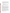Management Fees: When formulating budgets for proposals/applications, applicants must not include management fees or similar charges in excess of the direct costs and indirect costs at the rate approved by the applicants cognizant audit agency, or at the rate provided for by the terms of the agreement negotiated with EPA. The term "management fees or similar charges" refers to expenses added to the direct costs in order to accumulate and reserve funds for ongoing business expenses, unforeseen liabilities, or for other similar costs that are not allowable under EPA assistance agreements. Management fees or similar charges may not be used to improve or expand the project funded under this agreement, except to the extent authorized as a direct cost of carrying out the scope of work.

## **4. Attachments**. These are not included in the 20-page limit.

**a. Resumes.** Provide resumes or curriculum vitae for all principal investigators and any other key personnel.

**b. Support Letters.** Specifically indicate how the supporting organization will assist in the project and in the case of work with a specific foreign government entity, include support letters from relevant government agencies.

# **D. Can funding be used for the applicant to make subawards, acquire contract services or fund partnerships?**

EPA awards funds to one eligible applicant as the recipient even if other eligible applicants are named as partners or co-applicants or members of a coalition or consortium. The recipient is accountable to EPA for the proper expenditure of funds.

Funding may be used to provide subgrants or subawards of financial assistance, which includes using subawards or subgrants to fund partnerships, provided the recipient complies with applicable requirements for subawards or subgrants including those contained in 40 CFR Parts 30 or 31, as appropriate. Applicants must compete contracts for services and products, including consultant contracts, and conduct cost and price analyses to the extent required by the procurement provisions of the regulations at 40 CFR Parts 30 or 31, as appropriate. The regulations also contain limitations on consultant compensation. Applicants are not required to identify subawardees/subgrantees and/or contractors (including consultants) in their proposal/application. However, if they do, the fact that an applicant selected for award has named a specific subawardee/subgrantee, contractor, or consultant in the proposal/application EPA selects for funding does not relieve the applicant of its obligations to comply with subaward/subgrant and/or competitive procurement requirements as appropriate. Please note that applicants may not award sole source contracts to consulting, engineering or other firms assisting applicants with the proposal solely based on the firm's role in preparing the proposal/application.

Successful applicants cannot use subgrants or subawards to avoid requirements in EPA grant regulations for competitive procurement by using these instruments to acquire commercial services or products from for-profit organizations to carry out its assistance agreement. The nature of the transaction between the recipient and the subawardee or subgrantee must be consistent with the standards for distinguishing between vendor transactions and subrecipient assistance under Subpart B Section .210 of OMB Circular A-133 , and the definitions of subaward at 40 CFR 30.2(ff) or subgrant at 40 CFR 31.3, as applicable. EPA will not be a party to these transactions. Applicants acquiring commercial goods or services must comply with the competitive procurement standards in 40 CFR Part 30 or 40 CFR Part 31.36 and cannot use a subaward/subgrant as the funding mechanism.

#### **E. How will an applicant's proposed subawardees/subgrantees and contractors be considered during the evaluation process described in Section V of the announcement?**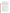Section V of the announcement describes the evaluation criteria and evaluation process that will be used by EPA to make selections under this announcement. During this evaluation, except for those criteria that relate to the applicant's own qualifications, past performance, and reporting history, the review panel will consider, if appropriate and relevant, the qualifications, expertise, and experience of:

(i) an applicant's named subawardees/subgrantees identified in the proposal/application if the applicant demonstrates in the proposal/application that if it receives an award that the subaward/subgrant will be properly awarded consistent with the applicable regulations in 40 CFR Parts 30 or 31. For example, applicants must not use subawards/subgrants to obtain commercial services or products from for profit firms or individual consultants.

(ii) an applicant's named contractor(s), including consultants, identified in the proposal/application if the applicant demonstrates in its proposal/application that the contractor(s) was selected in compliance with the competitive Procurement Standards in 40 CFR Part 30 or 40 CFR 31.36 as appropriate. For example, an applicant must demonstrate that it selected the contractor(s) competitively or that a proper non-competitive sole-source award consistent with the regulations will be made to the contractor(s), that efforts were made to provide small and disadvantaged businesses with opportunities to compete, and that some form of cost or price analysis was conducted. EPA may not accept sole source justifications for contracts for services or products that are otherwise readily available in the commercial marketplace.

EPA will not consider the qualifications, experience, and expertise of named subawardees/subgrantees and/or named contractor(s) during the proposal/application evaluation process unless the applicant complies with these requirements.

## **F. Submission Dates and Times**

The deadline for receipt of hard copy proposal packages is **Friday, February 22nd,2008 at 4:00 p.m., EST.** All electronic (emailed) and hard copies of proposal packages must be received by Lynda Garland by **4:00 p.m., EST on February 22, 2008** in order to be considered for funding. Proposals submitted electronically via Grants.gov must be received by **grants.gov by 11:59 p.m., EST on February 22, 2008**. Proposals received after the closing date and time will not be considered for funding.

Final (full) grant applications will be requested only from those eligible entities whose proposals have been tentatively selected for award. Additional instructions for final application packages will be provided when the applicant is notified of the tentative selection.

#### **G. Confidential Business Information**

In accordance with 40 CFR 2.203, applicants may claim all or a portion of their proposal/application as confidential business information. EPA will evaluate confidential claims in accordance with 40 CFR Part 2. Applicants must clearly mark proposals/applications or portions thereof that they claim as confidential. If no claim of confidentiality is made, EPA is not required to make the inquiry to the applicant otherwise required by 40 CFR 2.204 (c)(2) prior to disclosure. Note that under Public Law No. 105-277, data produced under an award is subject to the Freedom of Information Act.

# **H. Pre-Proposal Assistance and Communications**

Consistent with EPA's Assistance Agreement Competition Policy (EPA Order 5700.5A1), EPA's Methane to Markets Partnership staff are available to provide appropriate pre-proposal assistance to potential applicants interested in competing for this assistance agreement. The assistance may include helping potential applicants determine whether the applicant itself or the applicant's proposed project is eligible for funding, answering questions from potential applicants about administrative issues relating to the submission of a proposal, and responding to requests for clarification of the announcement.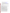Potential applicants may contact the following experts by phone or email to obtain such pre-proposal assistance:

Landfills: Brian Guzzone, (202) 343-9248, guzzone.brian@epa.gov Animal Waste Management: Kurt Roos, (202) 343-9041, roos.kurt@epa.gov Coal Mines: Pamela Franklin, (202) 343-9896, franklin.pamela@epa.gov Oil and Gas Systems: Roger Fernandez, (202) 343-9386, Fernandez.roger@epa.gov Overarching M2M Projects: Henry Ferland, (202) 343-9330, ferland.henry@epa.gov

# **Methane to Markets Staff will not discuss draft proposals, provide informal comments on draft proposals, or provide advice to potential applicants on how to respond to the RFP.**

Potential applicants are responsible for the content of their proposal, and for ensuring that their proposal is submitted as specified in Section IV of the announcement. Receiving information from EPA does not guarantee funding.

# **V. PROPOSAL REVIEW INFORMATION**

Only those proposals that meet the threshold criteria in section III will be evaluated according to the criteria set forth below. Applicants should directly and explicitly address these criteria as part of their proposal submittal. Each proposal will be rated under a points system, with a total of 100 points possible.

#### **A. Evaluation Criteria**

| <b>Criteria</b>                                                                                            | <b>Points</b> |
|------------------------------------------------------------------------------------------------------------|---------------|
| 1. Project Summary/Approach: Under this criterion, the Agency will evaluate the following                  |               |
| factors: (i) (13 pts) the extent and quality to which the narrative proposal includes a well-              |               |
| conceived strategy for addressing all of the requirements in <b>Section I, Part B (Scope of Work)</b>      | 35            |
| and Part C (EPA Strategic Plan Linkage and Anticipated Outcomes/Outputs), (ii) (12 pts)                    |               |
| the extent and quality to which the proposal's goals are realistic and will be actually                    |               |
| implemented by project end, (iii) (4 pts) whether the proposal sets forth a reasonable time                |               |
| schedule for the execution of the tasks associated with the project(s), $(iv)$ (6 pts) whether the         |               |
| proposal includes a commitment to develop a project website and to utilize the Methane to                  |               |
| Markets project database to track project progress.                                                        |               |
| 2. Environmental Results—Outcomes and Outputs: (15 Pts) Extent and quality to which the                    |               |
| proposal describes the evaluative component of the project, including how the applicant's                  |               |
| success in achieving the expected project outcomes and outputs, including those identified in              | 20            |
| <b>Section I</b> , will be tracked and measured and, (5 Pts) whether the results are estimated in terms of |               |
| metric tons carbon dioxide equivalent (MTCO2e).                                                            |               |
| 3. Past Performance--Programmatic Capability and Reporting on Environmental Results:                       |               |
| Under this criterion, the Agency will evaluate the applicant's <b>technical ability</b> to successfully    |               |
| complete and manage the proposed project taking into account the applicants: $(i)$ (7 pts) past            |               |
| performance in successfully completing and managing federally and/or foreign equivalent funded             |               |
| assistance agreements (assistance agreements include federally and/or foreign equivalent grants            |               |
| and cooperative agreements but not federally and/or foreign equivalent contracts) similar in size,         |               |
| scope, and relevance to the proposed project performed within the last 3 years, (ii) (7 pts) history       |               |
| of meeting reporting requirements under federally and/or foreign equivalent funded assistance              |               |
| agreements (assistance agreements include federally and/or foreign equivalent grants and                   | 20            |
| cooperative agreements but not federally and/or foreign equivalent contracts) similar in size,             |               |
| scope, and relevance to the proposed project performed within the last 3 years and submitting              |               |
| acceptable final technical reports or the equivalent under those agreements, and (iii) (6 pts) past        |               |
| performance in documenting and/or reporting on progress towards achieving the expected                     |               |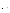| outcomes and outputs (e.g., results) under federally and/or foreign equivalent funded assistance<br>agreements (assistance agreements include federally and/or foreign equivalent grants and<br>cooperative agreements but not federally and/or foreign equivalent contracts) similar in size,<br>scope and relevance to the proposed project within the last 3 years; and, if such progress was not<br>made whether the documentation and/or reports satisfactorily explained why not.           |    |
|---------------------------------------------------------------------------------------------------------------------------------------------------------------------------------------------------------------------------------------------------------------------------------------------------------------------------------------------------------------------------------------------------------------------------------------------------------------------------------------------------|----|
| NOTE: In evaluating applicants under this criterion, the Agency will consider the information<br>provided by the applicant and may also consider relevant information from other sources<br>including agency files and prior/current grantors (e.g., to verify and/or supplement the<br>information supplied by the applicant). Applicants with no relevant or available past performance<br>or reporting history will receive a neutral score for those elements under this criterion. A neutral |    |
| score is half of the total points available in a subset of possible points.                                                                                                                                                                                                                                                                                                                                                                                                                       |    |
| 4. Staff Expertise/Qualifications: (i) (8 pts) Description of staff expertise/qualifications, staff<br>knowledge, and resources or the ability to obtain them, to successfully achieve the goals of the<br>proposed project, (ii) (7 pts) and description of the applicant's organization and experience<br>relating to the proposed project.                                                                                                                                                     | 15 |
| <b>5. Budget/Resources: (i) (5 pts)</b> Whether the proposed project budget is appropriate to<br>accomplish the proposed goals, objectives, and measurable environmental outcomes, $(ii)$ (5 pts)<br>whether the budget includes any leveraged funding or matching funds or activities to<br>demonstrate additional commitment to the proposed activities.                                                                                                                                        | 10 |

## **B. Review and Selection Process**

Each proposal will be evaluated by a review team using the evaluation criteria described above. Each proposal will be given a numerical score and will be rank-ordered according to the numerical score. Preliminary funding recommendations will be provided to the Approving Official based on this ranking.

## **C**. **Other Factors**

Final funding decisions will be made by the Approving Official based on the rankings and preliminary recommendation of the EPA evaluation team. In making the final funding decisions, the Approving Official may also consider programmatic priorities and geographic diversity of funds. Once final decisions have been made, a funding recommendation will be developed and forwarded to the EPA Award Official.

# **VI. AWARD ADMINISTRATION INFORMATION**

#### **A. Award Notices**

Following evaluation of proposals, all applicants will be notified regarding their status.

#### **Proposal Notifications.**

**a**. EPA anticipates notification to the *successful* applicant will be made, via telephone, electronic or postal mail by April 11, 2008. The notification will advise the applicant that its Proposal has been successfully evaluated and recommended for award. The notification will be sent to the original signer of the Standard Form (SF) 424, Application for Federal Assistance. The notice shall require submission of a Final Application. *(Refer to Section IV(B), Content and form of Application Submission* 

This notification, which advises that the applicant's proposal has been recommended for award, is **not** an authorization to begin performance. The award notice signed by the EPA grants officer is the authorizing document and will be provided through postal mail. At a minimum, this process can take up to 90 days from the date of recommendation.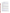**b**. EPA anticipates notification to *unsuccessful* applicant(s) will be made via electronic or postal mail by April 11, 2008. The notification will be sent to the original signer of the Standard Form (SF) 424, Application for Federal Assistance.

#### **B. Administrative and National Policy Requirement**

A listing and description of general EPA Regulations applicable to the award of assistance agreements may be viewed at: http://www.epa.gov/ogd/AppKit/applicable\_epa\_regulations\_and\_description.htm.

Executive Order 12372, Intergovernmental Review of Federal Programs may be applicable to awards, resulting from this announcement. Applicants selected for funding may be required to provide a copy of their proposal to their State Point of Contact (SPOC) for review, pursuant to Executive Order 12372, Intergovernmental Review of Federal Programs. This review is not required with the Initial Proposal and not all states require such a review.

# **C. DUNS Number**

All applicants **are required** to provide a Dun and Bradstreet (D&B) Data Universal Numbering System (DUNS) number when applying for a Federal grant or cooperative agreement. Applicants can receive a DUNS number, at no cost, by calling the dedicated toll-free DUNS Number request line at 1-866-705- 5711, or visiting the D&B website at: http://www.dnb.com.

# **D. Reporting Requirement**

Quarterly progress reports and a detailed final report will be required. Quarterly reports summarizing technical progress, planned activities for next quarter and summary of expenditures are required. The final report shall be completed within 90 calendar days of the completion of the period of performance. The final report should include: summary of the project or activity, advances achieved and costs of the project or activity. In addition, the final report shall discuss the problems, successes, and lessons learned from the project or activity that could help overcome structural, organizational or technical obstacles to implementing a similar project elsewhere. The schedule for submission of quarterly reports will be established by EPA, after award.

### **E. Exchange Network**

EPA, states, territories, and tribes are working together to develop the National Environmental Information Exchange Network, a secure, Internet- and standards-based way to support electronic data reporting, sharing, and integration of both regulatory and non-regulatory environmental data. States, tribes and territories exchanging data with each other or with EPA, should make the Exchange Network and the Agency's connection to it, the Central Data Exchange (CDX), the standard way they exchange data and should phase out any legacy methods they have been using. More information on the Exchange Network is available at www.exchangenetwork.net.

## **F. Disputes**

Assistant agreement competition-related disputes will be resolved in accordance with the dispute resolution procedures published in 70 FR (Federal Register) 3629, 3630 (January 26, 2006) located on the web at: http://frwebgate.access.gpo.gov/cgi-bin/getpage.cgi?position=all&page=3629&dbname=2005\_register

# **G. Non-profit Administrative Capability**

Non-profit applicants that are recommended for funding under this announcement are subject to pre-award administrative capability reviews consistent with Section 8b, 8c and 9d of EPA Order 5700.8 - Policy on Assessing Capabilities of Non-Profit Applicants for Managing Assistance Awards (http://www.epa.gov/ogd/grants/award/5700\_8.pdf). In addition, non-profit applicants that qualify for funding may, depending on the size of the award, be required to fill out and submit to the Grants Management Office the Administrative Capabilities Form, with supporting documents, contained in Appendix A of EPA Order 5700.8.